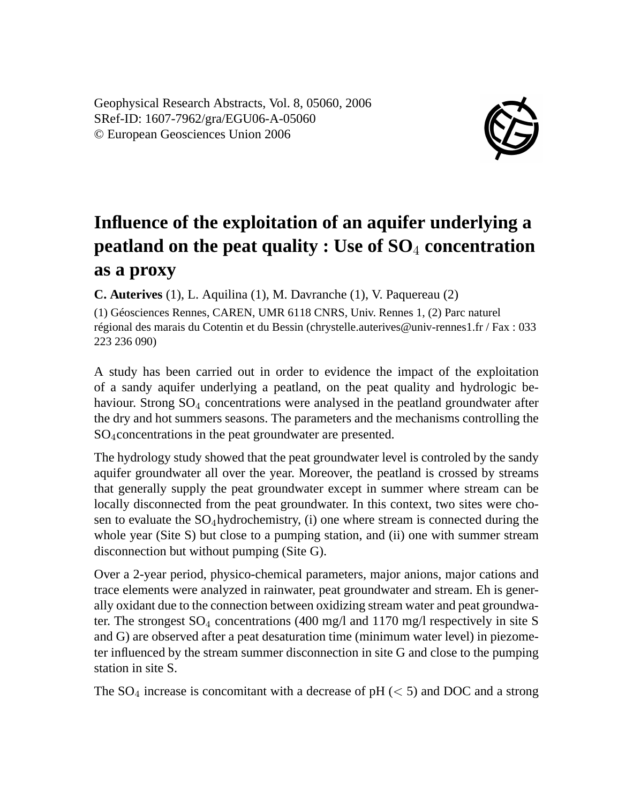Geophysical Research Abstracts, Vol. 8, 05060, 2006 SRef-ID: 1607-7962/gra/EGU06-A-05060 © European Geosciences Union 2006



## **Influence of the exploitation of an aquifer underlying a peatland on the peat quality : Use of SO**<sup>4</sup> **concentration as a proxy**

**C. Auterives** (1), L. Aquilina (1), M. Davranche (1), V. Paquereau (2)

(1) Géosciences Rennes, CAREN, UMR 6118 CNRS, Univ. Rennes 1, (2) Parc naturel régional des marais du Cotentin et du Bessin (chrystelle.auterives@univ-rennes1.fr / Fax : 033 223 236 090)

A study has been carried out in order to evidence the impact of the exploitation of a sandy aquifer underlying a peatland, on the peat quality and hydrologic behaviour. Strong  $SO_4$  concentrations were analysed in the peatland groundwater after the dry and hot summers seasons. The parameters and the mechanisms controlling the SO4concentrations in the peat groundwater are presented.

The hydrology study showed that the peat groundwater level is controled by the sandy aquifer groundwater all over the year. Moreover, the peatland is crossed by streams that generally supply the peat groundwater except in summer where stream can be locally disconnected from the peat groundwater. In this context, two sites were chosen to evaluate the  $SO_4$ hydrochemistry, (i) one where stream is connected during the whole year (Site S) but close to a pumping station, and (ii) one with summer stream disconnection but without pumping (Site G).

Over a 2-year period, physico-chemical parameters, major anions, major cations and trace elements were analyzed in rainwater, peat groundwater and stream. Eh is generally oxidant due to the connection between oxidizing stream water and peat groundwater. The strongest  $SO_4$  concentrations (400 mg/l and 1170 mg/l respectively in site S and G) are observed after a peat desaturation time (minimum water level) in piezometer influenced by the stream summer disconnection in site G and close to the pumping station in site S.

The  $SO_4$  increase is concomitant with a decrease of pH ( $\lt$  5) and DOC and a strong